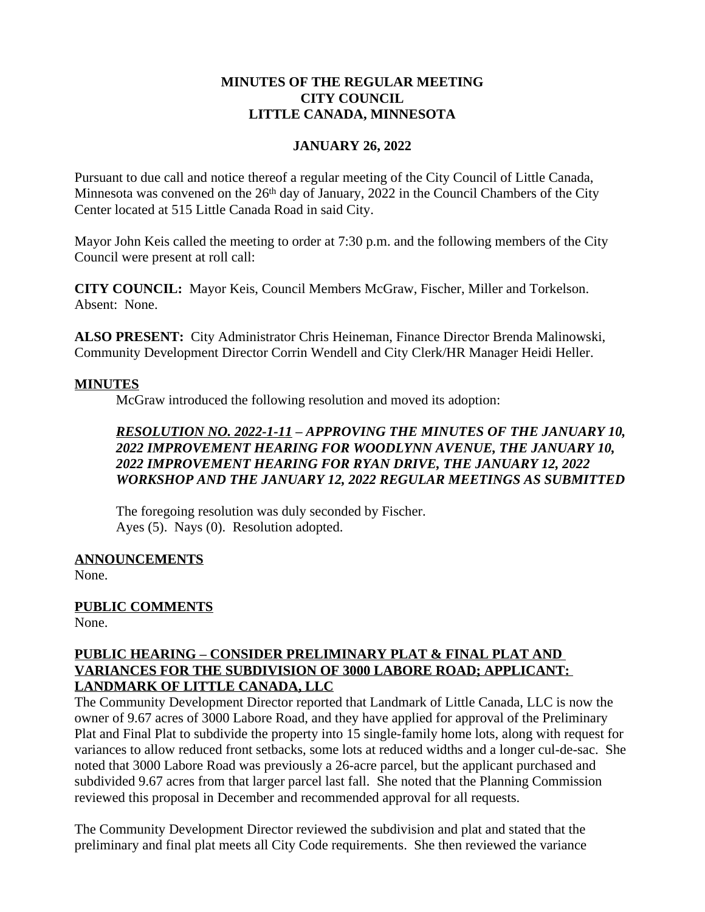#### **MINUTES OF THE REGULAR MEETING CITY COUNCIL LITTLE CANADA, MINNESOTA**

### **JANUARY 26, 2022**

Pursuant to due call and notice thereof a regular meeting of the City Council of Little Canada, Minnesota was convened on the  $26<sup>th</sup>$  day of January, 2022 in the Council Chambers of the City Center located at 515 Little Canada Road in said City.

Mayor John Keis called the meeting to order at 7:30 p.m. and the following members of the City Council were present at roll call:

**CITY COUNCIL:** Mayor Keis, Council Members McGraw, Fischer, Miller and Torkelson. Absent: None.

**ALSO PRESENT:** City Administrator Chris Heineman, Finance Director Brenda Malinowski, Community Development Director Corrin Wendell and City Clerk/HR Manager Heidi Heller.

#### **MINUTES**

McGraw introduced the following resolution and moved its adoption:

## *RESOLUTION NO. 2022-1-11 – APPROVING THE MINUTES OF THE JANUARY 10, 2022 IMPROVEMENT HEARING FOR WOODLYNN AVENUE, THE JANUARY 10, 2022 IMPROVEMENT HEARING FOR RYAN DRIVE, THE JANUARY 12, 2022 WORKSHOP AND THE JANUARY 12, 2022 REGULAR MEETINGS AS SUBMITTED*

The foregoing resolution was duly seconded by Fischer. Ayes (5). Nays (0). Resolution adopted.

**ANNOUNCEMENTS**

None.

## **PUBLIC COMMENTS**

None.

### **PUBLIC HEARING – CONSIDER PRELIMINARY PLAT & FINAL PLAT AND VARIANCES FOR THE SUBDIVISION OF 3000 LABORE ROAD; APPLICANT: LANDMARK OF LITTLE CANADA, LLC**

The Community Development Director reported that Landmark of Little Canada, LLC is now the owner of 9.67 acres of 3000 Labore Road, and they have applied for approval of the Preliminary Plat and Final Plat to subdivide the property into 15 single-family home lots, along with request for variances to allow reduced front setbacks, some lots at reduced widths and a longer cul-de-sac. She noted that 3000 Labore Road was previously a 26-acre parcel, but the applicant purchased and subdivided 9.67 acres from that larger parcel last fall. She noted that the Planning Commission reviewed this proposal in December and recommended approval for all requests.

The Community Development Director reviewed the subdivision and plat and stated that the preliminary and final plat meets all City Code requirements. She then reviewed the variance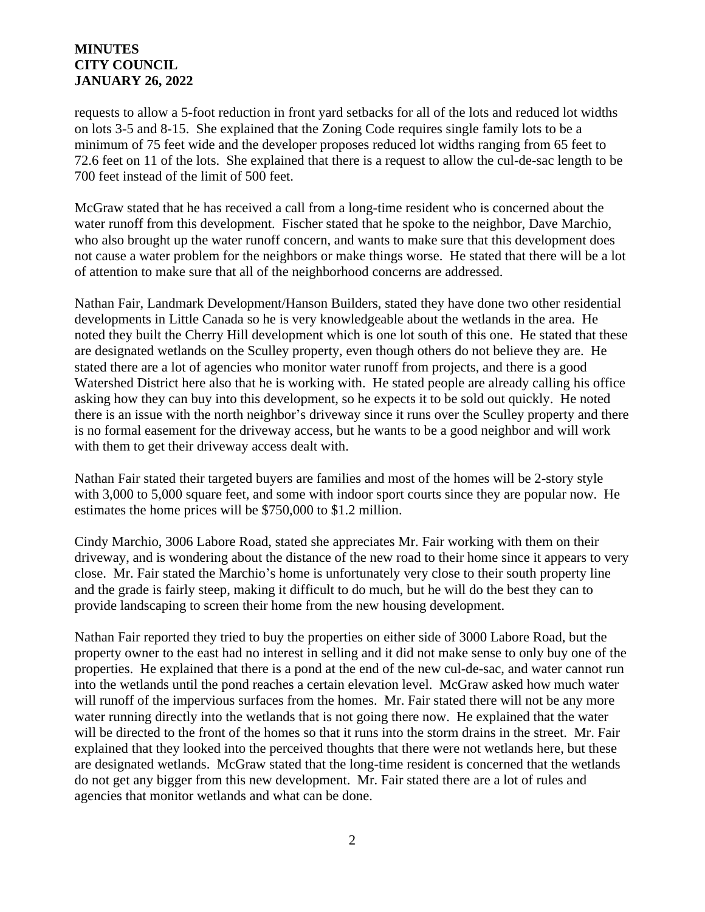requests to allow a 5-foot reduction in front yard setbacks for all of the lots and reduced lot widths on lots 3-5 and 8-15. She explained that the Zoning Code requires single family lots to be a minimum of 75 feet wide and the developer proposes reduced lot widths ranging from 65 feet to 72.6 feet on 11 of the lots. She explained that there is a request to allow the cul-de-sac length to be 700 feet instead of the limit of 500 feet.

McGraw stated that he has received a call from a long-time resident who is concerned about the water runoff from this development. Fischer stated that he spoke to the neighbor, Dave Marchio, who also brought up the water runoff concern, and wants to make sure that this development does not cause a water problem for the neighbors or make things worse. He stated that there will be a lot of attention to make sure that all of the neighborhood concerns are addressed.

Nathan Fair, Landmark Development/Hanson Builders, stated they have done two other residential developments in Little Canada so he is very knowledgeable about the wetlands in the area. He noted they built the Cherry Hill development which is one lot south of this one. He stated that these are designated wetlands on the Sculley property, even though others do not believe they are. He stated there are a lot of agencies who monitor water runoff from projects, and there is a good Watershed District here also that he is working with. He stated people are already calling his office asking how they can buy into this development, so he expects it to be sold out quickly. He noted there is an issue with the north neighbor's driveway since it runs over the Sculley property and there is no formal easement for the driveway access, but he wants to be a good neighbor and will work with them to get their driveway access dealt with.

Nathan Fair stated their targeted buyers are families and most of the homes will be 2-story style with 3,000 to 5,000 square feet, and some with indoor sport courts since they are popular now. He estimates the home prices will be \$750,000 to \$1.2 million.

Cindy Marchio, 3006 Labore Road, stated she appreciates Mr. Fair working with them on their driveway, and is wondering about the distance of the new road to their home since it appears to very close. Mr. Fair stated the Marchio's home is unfortunately very close to their south property line and the grade is fairly steep, making it difficult to do much, but he will do the best they can to provide landscaping to screen their home from the new housing development.

Nathan Fair reported they tried to buy the properties on either side of 3000 Labore Road, but the property owner to the east had no interest in selling and it did not make sense to only buy one of the properties. He explained that there is a pond at the end of the new cul-de-sac, and water cannot run into the wetlands until the pond reaches a certain elevation level. McGraw asked how much water will runoff of the impervious surfaces from the homes. Mr. Fair stated there will not be any more water running directly into the wetlands that is not going there now. He explained that the water will be directed to the front of the homes so that it runs into the storm drains in the street. Mr. Fair explained that they looked into the perceived thoughts that there were not wetlands here, but these are designated wetlands. McGraw stated that the long-time resident is concerned that the wetlands do not get any bigger from this new development. Mr. Fair stated there are a lot of rules and agencies that monitor wetlands and what can be done.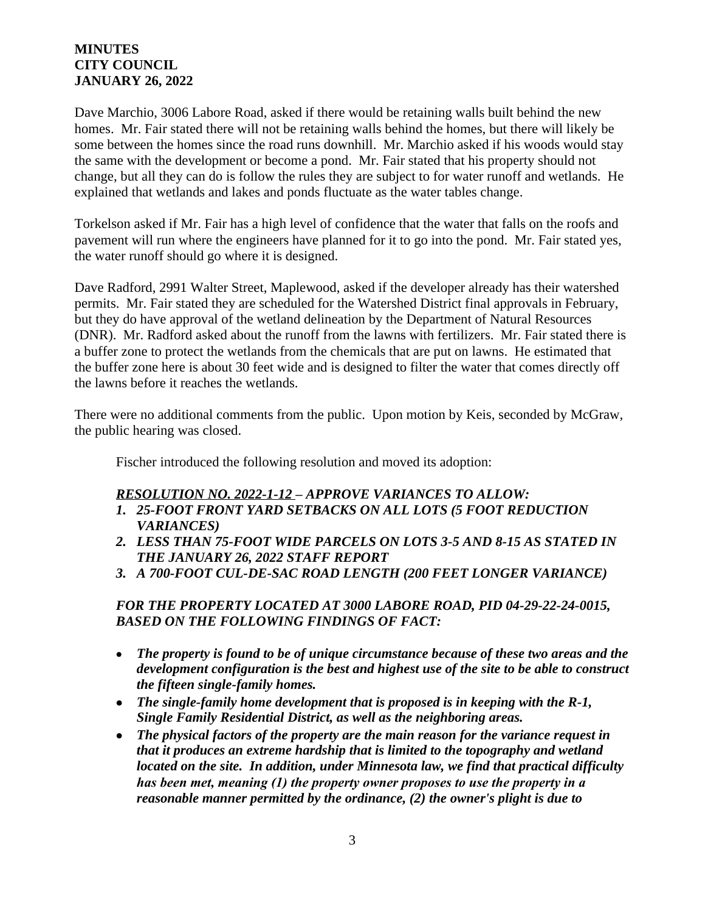Dave Marchio, 3006 Labore Road, asked if there would be retaining walls built behind the new homes. Mr. Fair stated there will not be retaining walls behind the homes, but there will likely be some between the homes since the road runs downhill. Mr. Marchio asked if his woods would stay the same with the development or become a pond. Mr. Fair stated that his property should not change, but all they can do is follow the rules they are subject to for water runoff and wetlands. He explained that wetlands and lakes and ponds fluctuate as the water tables change.

Torkelson asked if Mr. Fair has a high level of confidence that the water that falls on the roofs and pavement will run where the engineers have planned for it to go into the pond. Mr. Fair stated yes, the water runoff should go where it is designed.

Dave Radford, 2991 Walter Street, Maplewood, asked if the developer already has their watershed permits. Mr. Fair stated they are scheduled for the Watershed District final approvals in February, but they do have approval of the wetland delineation by the Department of Natural Resources (DNR). Mr. Radford asked about the runoff from the lawns with fertilizers. Mr. Fair stated there is a buffer zone to protect the wetlands from the chemicals that are put on lawns. He estimated that the buffer zone here is about 30 feet wide and is designed to filter the water that comes directly off the lawns before it reaches the wetlands.

There were no additional comments from the public. Upon motion by Keis, seconded by McGraw, the public hearing was closed.

Fischer introduced the following resolution and moved its adoption:

## *RESOLUTION NO. 2022-1-12 – APPROVE VARIANCES TO ALLOW:*

- *1. 25-FOOT FRONT YARD SETBACKS ON ALL LOTS (5 FOOT REDUCTION VARIANCES)*
- *2. LESS THAN 75-FOOT WIDE PARCELS ON LOTS 3-5 AND 8-15 AS STATED IN THE JANUARY 26, 2022 STAFF REPORT*
- *3. A 700-FOOT CUL-DE-SAC ROAD LENGTH (200 FEET LONGER VARIANCE)*

## *FOR THE PROPERTY LOCATED AT 3000 LABORE ROAD, PID 04-29-22-24-0015, BASED ON THE FOLLOWING FINDINGS OF FACT:*

- *The property is found to be of unique circumstance because of these two areas and the development configuration is the best and highest use of the site to be able to construct the fifteen single-family homes.*
- *The single-family home development that is proposed is in keeping with the R-1, Single Family Residential District, as well as the neighboring areas.*
- *The physical factors of the property are the main reason for the variance request in that it produces an extreme hardship that is limited to the topography and wetland located on the site. In addition, under Minnesota law, we find that practical difficulty has been met, meaning (1) the property owner proposes to use the property in a reasonable manner permitted by the ordinance, (2) the owner's plight is due to*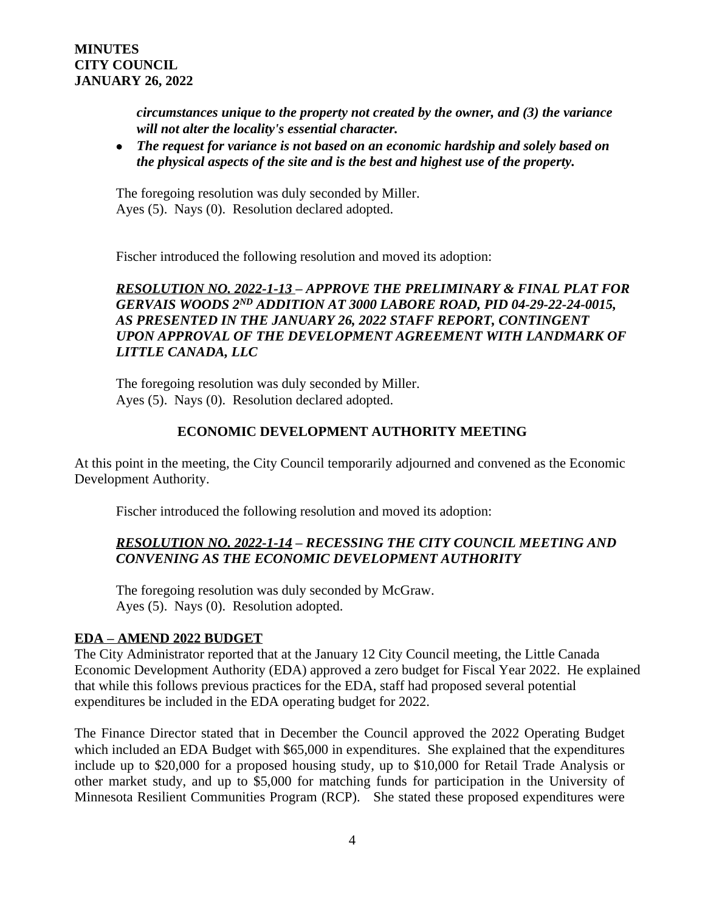*circumstances unique to the property not created by the owner, and (3) the variance will not alter the locality's essential character.*

 *The request for variance is not based on an economic hardship and solely based on the physical aspects of the site and is the best and highest use of the property.*

The foregoing resolution was duly seconded by Miller. Ayes (5). Nays (0). Resolution declared adopted.

Fischer introduced the following resolution and moved its adoption:

*RESOLUTION NO. 2022-1-13 – APPROVE THE PRELIMINARY & FINAL PLAT FOR GERVAIS WOODS 2ND ADDITION AT 3000 LABORE ROAD, PID 04-29-22-24-0015, AS PRESENTED IN THE JANUARY 26, 2022 STAFF REPORT, CONTINGENT UPON APPROVAL OF THE DEVELOPMENT AGREEMENT WITH LANDMARK OF LITTLE CANADA, LLC*

The foregoing resolution was duly seconded by Miller. Ayes (5). Nays (0). Resolution declared adopted.

### **ECONOMIC DEVELOPMENT AUTHORITY MEETING**

At this point in the meeting, the City Council temporarily adjourned and convened as the Economic Development Authority.

Fischer introduced the following resolution and moved its adoption:

### *RESOLUTION NO. 2022-1-14 – RECESSING THE CITY COUNCIL MEETING AND CONVENING AS THE ECONOMIC DEVELOPMENT AUTHORITY*

The foregoing resolution was duly seconded by McGraw. Ayes (5). Nays (0). Resolution adopted.

#### **EDA – AMEND 2022 BUDGET**

The City Administrator reported that at the January 12 City Council meeting, the Little Canada Economic Development Authority (EDA) approved a zero budget for Fiscal Year 2022. He explained that while this follows previous practices for the EDA, staff had proposed several potential expenditures be included in the EDA operating budget for 2022.

The Finance Director stated that in December the Council approved the 2022 Operating Budget which included an EDA Budget with \$65,000 in expenditures. She explained that the expenditures include up to \$20,000 for a proposed housing study, up to \$10,000 for Retail Trade Analysis or other market study, and up to \$5,000 for matching funds for participation in the University of Minnesota Resilient Communities Program (RCP). She stated these proposed expenditures were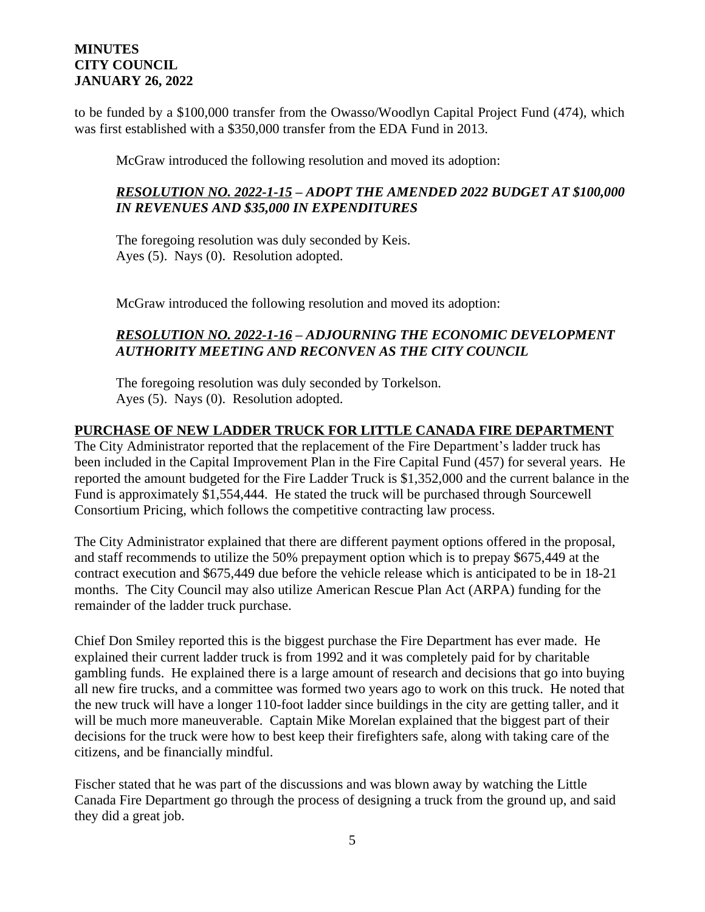to be funded by a \$100,000 transfer from the Owasso/Woodlyn Capital Project Fund (474), which was first established with a \$350,000 transfer from the EDA Fund in 2013.

McGraw introduced the following resolution and moved its adoption:

### *RESOLUTION NO. 2022-1-15 – ADOPT THE AMENDED 2022 BUDGET AT \$100,000 IN REVENUES AND \$35,000 IN EXPENDITURES*

The foregoing resolution was duly seconded by Keis. Ayes (5). Nays (0). Resolution adopted.

McGraw introduced the following resolution and moved its adoption:

# *RESOLUTION NO. 2022-1-16 – ADJOURNING THE ECONOMIC DEVELOPMENT AUTHORITY MEETING AND RECONVEN AS THE CITY COUNCIL*

The foregoing resolution was duly seconded by Torkelson. Ayes (5). Nays (0). Resolution adopted.

## **PURCHASE OF NEW LADDER TRUCK FOR LITTLE CANADA FIRE DEPARTMENT**

The City Administrator reported that the replacement of the Fire Department's ladder truck has been included in the Capital Improvement Plan in the Fire Capital Fund (457) for several years. He reported the amount budgeted for the Fire Ladder Truck is \$1,352,000 and the current balance in the Fund is approximately \$1,554,444. He stated the truck will be purchased through Sourcewell Consortium Pricing, which follows the competitive contracting law process.

The City Administrator explained that there are different payment options offered in the proposal, and staff recommends to utilize the 50% prepayment option which is to prepay \$675,449 at the contract execution and \$675,449 due before the vehicle release which is anticipated to be in 18-21 months. The City Council may also utilize American Rescue Plan Act (ARPA) funding for the remainder of the ladder truck purchase.

Chief Don Smiley reported this is the biggest purchase the Fire Department has ever made. He explained their current ladder truck is from 1992 and it was completely paid for by charitable gambling funds. He explained there is a large amount of research and decisions that go into buying all new fire trucks, and a committee was formed two years ago to work on this truck. He noted that the new truck will have a longer 110-foot ladder since buildings in the city are getting taller, and it will be much more maneuverable. Captain Mike Morelan explained that the biggest part of their decisions for the truck were how to best keep their firefighters safe, along with taking care of the citizens, and be financially mindful.

Fischer stated that he was part of the discussions and was blown away by watching the Little Canada Fire Department go through the process of designing a truck from the ground up, and said they did a great job.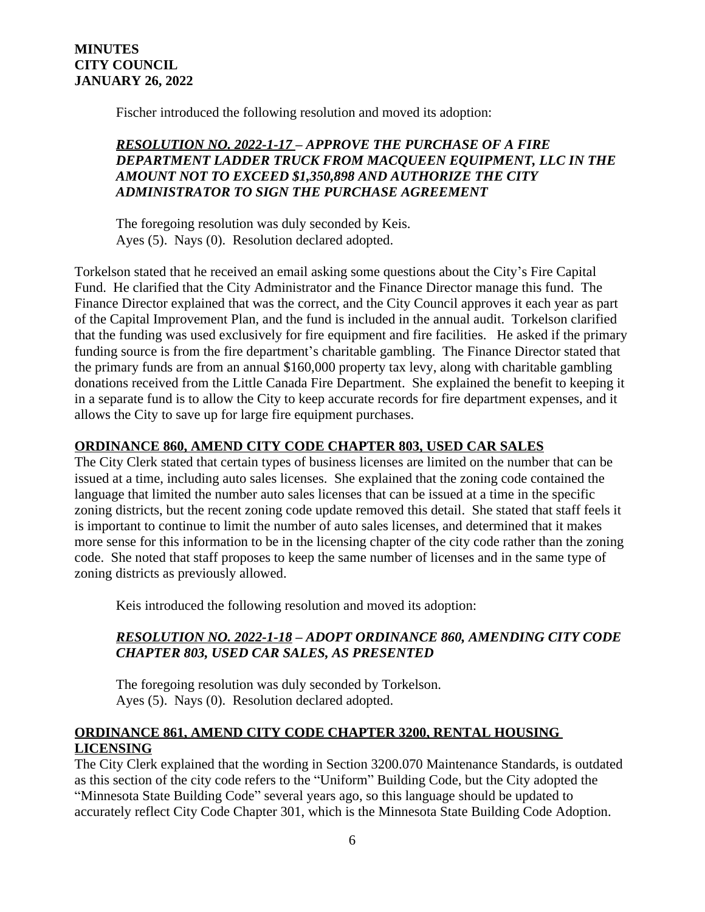Fischer introduced the following resolution and moved its adoption:

# *RESOLUTION NO. 2022-1-17 – APPROVE THE PURCHASE OF A FIRE DEPARTMENT LADDER TRUCK FROM MACQUEEN EQUIPMENT, LLC IN THE AMOUNT NOT TO EXCEED \$1,350,898 AND AUTHORIZE THE CITY ADMINISTRATOR TO SIGN THE PURCHASE AGREEMENT*

The foregoing resolution was duly seconded by Keis. Ayes (5). Nays (0). Resolution declared adopted.

Torkelson stated that he received an email asking some questions about the City's Fire Capital Fund. He clarified that the City Administrator and the Finance Director manage this fund. The Finance Director explained that was the correct, and the City Council approves it each year as part of the Capital Improvement Plan, and the fund is included in the annual audit. Torkelson clarified that the funding was used exclusively for fire equipment and fire facilities. He asked if the primary funding source is from the fire department's charitable gambling. The Finance Director stated that the primary funds are from an annual \$160,000 property tax levy, along with charitable gambling donations received from the Little Canada Fire Department. She explained the benefit to keeping it in a separate fund is to allow the City to keep accurate records for fire department expenses, and it allows the City to save up for large fire equipment purchases.

# **ORDINANCE 860, AMEND CITY CODE CHAPTER 803, USED CAR SALES**

The City Clerk stated that certain types of business licenses are limited on the number that can be issued at a time, including auto sales licenses. She explained that the zoning code contained the language that limited the number auto sales licenses that can be issued at a time in the specific zoning districts, but the recent zoning code update removed this detail. She stated that staff feels it is important to continue to limit the number of auto sales licenses, and determined that it makes more sense for this information to be in the licensing chapter of the city code rather than the zoning code. She noted that staff proposes to keep the same number of licenses and in the same type of zoning districts as previously allowed.

Keis introduced the following resolution and moved its adoption:

# *RESOLUTION NO. 2022-1-18 – ADOPT ORDINANCE 860, AMENDING CITY CODE CHAPTER 803, USED CAR SALES, AS PRESENTED*

The foregoing resolution was duly seconded by Torkelson. Ayes (5). Nays (0). Resolution declared adopted.

## **ORDINANCE 861, AMEND CITY CODE CHAPTER 3200, RENTAL HOUSING LICENSING**

The City Clerk explained that the wording in Section 3200.070 Maintenance Standards, is outdated as this section of the city code refers to the "Uniform" Building Code, but the City adopted the "Minnesota State Building Code" several years ago, so this language should be updated to accurately reflect City Code Chapter 301, which is the Minnesota State Building Code Adoption.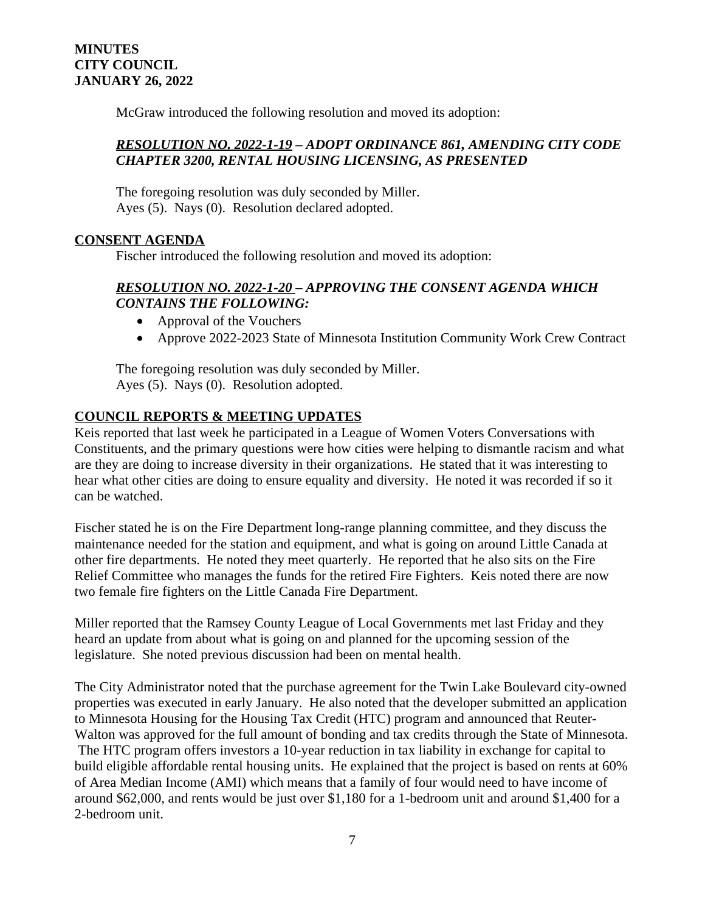McGraw introduced the following resolution and moved its adoption:

### *RESOLUTION NO. 2022-1-19 – ADOPT ORDINANCE 861, AMENDING CITY CODE CHAPTER 3200, RENTAL HOUSING LICENSING, AS PRESENTED*

The foregoing resolution was duly seconded by Miller. Ayes (5). Nays (0). Resolution declared adopted.

### **CONSENT AGENDA**

Fischer introduced the following resolution and moved its adoption:

### *RESOLUTION NO. 2022-1-20 – APPROVING THE CONSENT AGENDA WHICH CONTAINS THE FOLLOWING:*

- Approval of the Vouchers
- Approve 2022-2023 State of Minnesota Institution Community Work Crew Contract

The foregoing resolution was duly seconded by Miller. Ayes (5). Nays (0). Resolution adopted.

### **COUNCIL REPORTS & MEETING UPDATES**

Keis reported that last week he participated in a League of Women Voters Conversations with Constituents, and the primary questions were how cities were helping to dismantle racism and what are they are doing to increase diversity in their organizations. He stated that it was interesting to hear what other cities are doing to ensure equality and diversity. He noted it was recorded if so it can be watched.

Fischer stated he is on the Fire Department long-range planning committee, and they discuss the maintenance needed for the station and equipment, and what is going on around Little Canada at other fire departments. He noted they meet quarterly. He reported that he also sits on the Fire Relief Committee who manages the funds for the retired Fire Fighters. Keis noted there are now two female fire fighters on the Little Canada Fire Department.

Miller reported that the Ramsey County League of Local Governments met last Friday and they heard an update from about what is going on and planned for the upcoming session of the legislature. She noted previous discussion had been on mental health.

The City Administrator noted that the purchase agreement for the Twin Lake Boulevard city-owned properties was executed in early January. He also noted that the developer submitted an application to Minnesota Housing for the Housing Tax Credit (HTC) program and announced that Reuter-Walton was approved for the full amount of bonding and tax credits through the State of Minnesota. The HTC program offers investors a 10-year reduction in tax liability in exchange for capital to build eligible affordable rental housing units. He explained that the project is based on rents at 60% of Area Median Income (AMI) which means that a family of four would need to have income of around \$62,000, and rents would be just over \$1,180 for a 1-bedroom unit and around \$1,400 for a 2-bedroom unit.